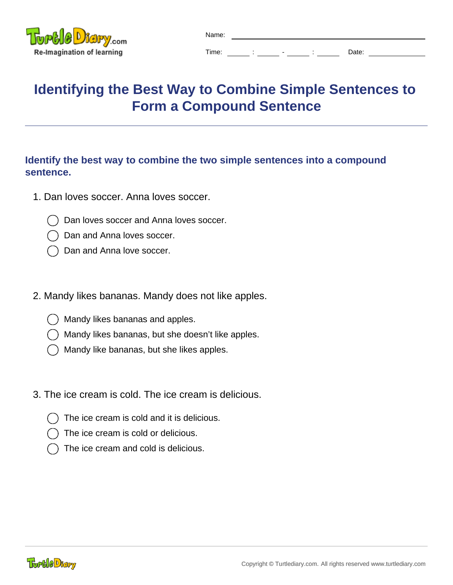

| Name: |  |                          |       |
|-------|--|--------------------------|-------|
| Time: |  | $\overline{\phantom{a}}$ | Date: |

## **Identifying the Best Way to Combine Simple Sentences to Form a Compound Sentence**

## **Identify the best way to combine the two simple sentences into a compound sentence.**

- 1. Dan loves soccer. Anna loves soccer.
	- Dan loves soccer and Anna loves soccer.
	- Dan and Anna loves soccer.
	- Dan and Anna love soccer.
- 2. Mandy likes bananas. Mandy does not like apples.
	- Mandy likes bananas and apples.
	- Mandy likes bananas, but she doesn't like apples.
	- Mandy like bananas, but she likes apples.
- 3. The ice cream is cold. The ice cream is delicious.
	- The ice cream is cold and it is delicious.
	- The ice cream is cold or delicious.
	- The ice cream and cold is delicious.

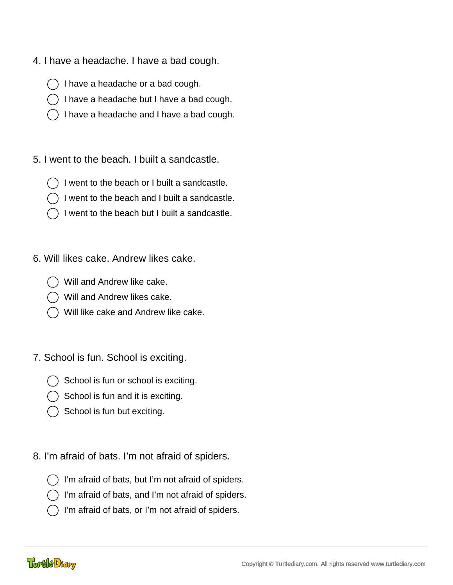- 4. I have a headache. I have a bad cough.
	- I have a headache or a bad cough.
	- I have a headache but I have a bad cough.
	- I have a headache and I have a bad cough.
- 5. I went to the beach. I built a sandcastle.
	- I went to the beach or I built a sandcastle.
	- I went to the beach and I built a sandcastle.
	- I went to the beach but I built a sandcastle.
- 6. Will likes cake. Andrew likes cake.
	- Will and Andrew like cake.
	- Will and Andrew likes cake.
	- Will like cake and Andrew like cake.
- 7. School is fun. School is exciting.
	- School is fun or school is exciting.
	- School is fun and it is exciting.
	- $\bigcirc$  School is fun but exciting.
- 8. I'm afraid of bats. I'm not afraid of spiders.
	- I'm afraid of bats, but I'm not afraid of spiders.
	- I'm afraid of bats, and I'm not afraid of spiders.
	- I'm afraid of bats, or I'm not afraid of spiders.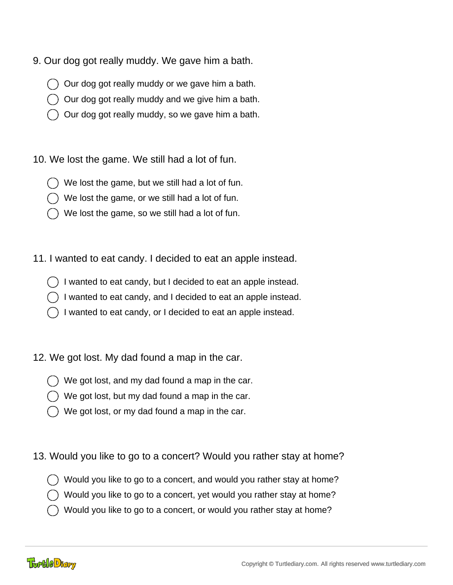- 9. Our dog got really muddy. We gave him a bath.
	- Our dog got really muddy or we gave him a bath.
	- Our dog got really muddy and we give him a bath.
	- Our dog got really muddy, so we gave him a bath.

10. We lost the game. We still had a lot of fun.

- We lost the game, but we still had a lot of fun.
- We lost the game, or we still had a lot of fun.
- We lost the game, so we still had a lot of fun.
- 11. I wanted to eat candy. I decided to eat an apple instead.
	- I wanted to eat candy, but I decided to eat an apple instead.
	- I wanted to eat candy, and I decided to eat an apple instead.
	- I wanted to eat candy, or I decided to eat an apple instead.
- 12. We got lost. My dad found a map in the car.
	- We got lost, and my dad found a map in the car.
	- We got lost, but my dad found a map in the car.
	- We got lost, or my dad found a map in the car.
- 13. Would you like to go to a concert? Would you rather stay at home?
	- Would you like to go to a concert, and would you rather stay at home?
	- Would you like to go to a concert, yet would you rather stay at home?
	- Would you like to go to a concert, or would you rather stay at home?